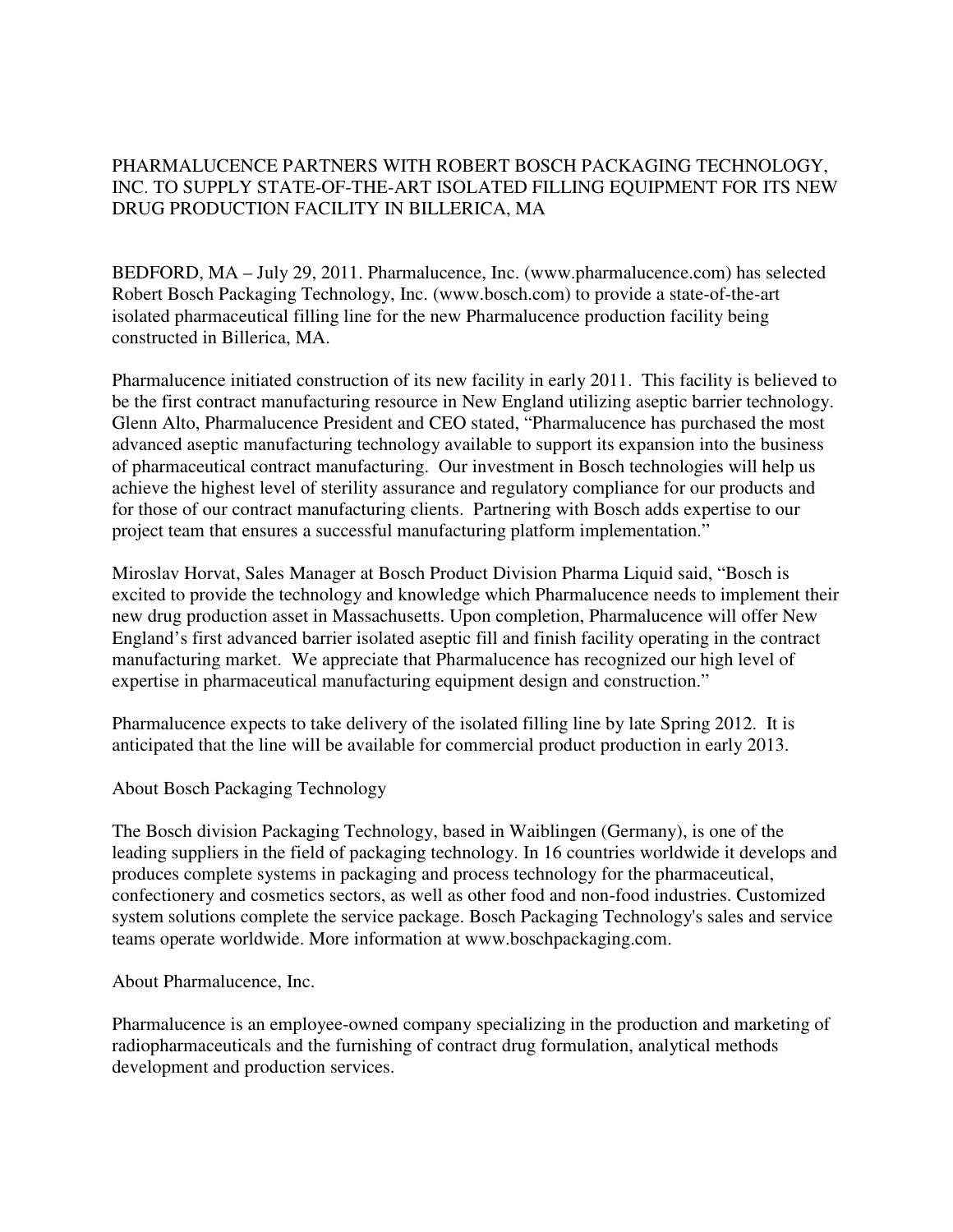PHARMALUCENCE PARTNERS WITH ROBERT BOSCH PACKAGING TECHNOLOGY, INC. TO SUPPLY STATE-OF-THE-ART ISOLATED FILLING EQUIPMENT FOR ITS NEW DRUG PRODUCTION FACILITY IN BILLERICA, MA

BEDFORD, MA – July 29, 2011. Pharmalucence, Inc. (www.pharmalucence.com) has selected Robert Bosch Packaging Technology, Inc. (www.bosch.com) to provide a state-of-the-art isolated pharmaceutical filling line for the new Pharmalucence production facility being constructed in Billerica, MA.

Pharmalucence initiated construction of its new facility in early 2011. This facility is believed to be the first contract manufacturing resource in New England utilizing aseptic barrier technology. Glenn Alto, Pharmalucence President and CEO stated, "Pharmalucence has purchased the most advanced aseptic manufacturing technology available to support its expansion into the business of pharmaceutical contract manufacturing. Our investment in Bosch technologies will help us achieve the highest level of sterility assurance and regulatory compliance for our products and for those of our contract manufacturing clients. Partnering with Bosch adds expertise to our project team that ensures a successful manufacturing platform implementation."

Miroslav Horvat, Sales Manager at Bosch Product Division Pharma Liquid said, "Bosch is excited to provide the technology and knowledge which Pharmalucence needs to implement their new drug production asset in Massachusetts. Upon completion, Pharmalucence will offer New England's first advanced barrier isolated aseptic fill and finish facility operating in the contract manufacturing market. We appreciate that Pharmalucence has recognized our high level of expertise in pharmaceutical manufacturing equipment design and construction."

Pharmalucence expects to take delivery of the isolated filling line by late Spring 2012. It is anticipated that the line will be available for commercial product production in early 2013.

About Bosch Packaging Technology

The Bosch division Packaging Technology, based in Waiblingen (Germany), is one of the leading suppliers in the field of packaging technology. In 16 countries worldwide it develops and produces complete systems in packaging and process technology for the pharmaceutical, confectionery and cosmetics sectors, as well as other food and non-food industries. Customized system solutions complete the service package. Bosch Packaging Technology's sales and service teams operate worldwide. More information at www.boschpackaging.com.

About Pharmalucence, Inc.

Pharmalucence is an employee-owned company specializing in the production and marketing of radiopharmaceuticals and the furnishing of contract drug formulation, analytical methods development and production services.